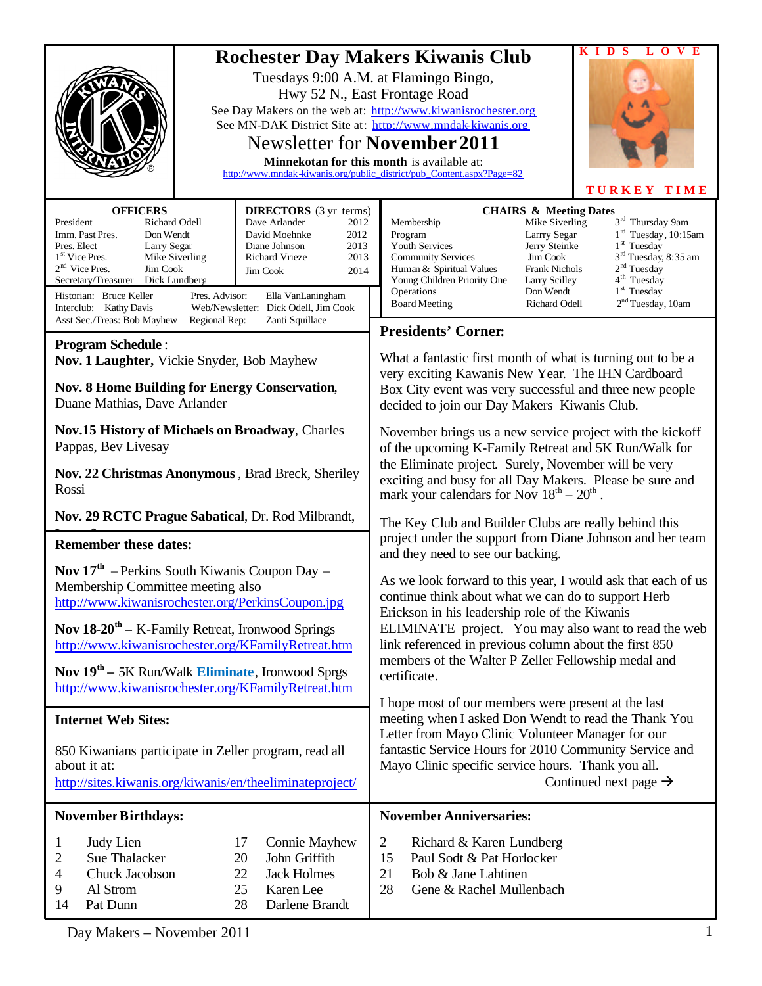|                                                                                                                                                                                                                                                                                                                                                                                                                                                                                                                                                                                                          |                                                                                                                                                                                                                            | V E<br>$\Omega$<br>л.<br>D<br><b>Rochester Day Makers Kiwanis Club</b>                                                                                                                                                                                                                                                                                                                                                                                                                                                                                                                                                                                                                                                                                                                    |  |
|----------------------------------------------------------------------------------------------------------------------------------------------------------------------------------------------------------------------------------------------------------------------------------------------------------------------------------------------------------------------------------------------------------------------------------------------------------------------------------------------------------------------------------------------------------------------------------------------------------|----------------------------------------------------------------------------------------------------------------------------------------------------------------------------------------------------------------------------|-------------------------------------------------------------------------------------------------------------------------------------------------------------------------------------------------------------------------------------------------------------------------------------------------------------------------------------------------------------------------------------------------------------------------------------------------------------------------------------------------------------------------------------------------------------------------------------------------------------------------------------------------------------------------------------------------------------------------------------------------------------------------------------------|--|
|                                                                                                                                                                                                                                                                                                                                                                                                                                                                                                                                                                                                          |                                                                                                                                                                                                                            | Tuesdays 9:00 A.M. at Flamingo Bingo,<br>Hwy 52 N., East Frontage Road<br>See Day Makers on the web at: http://www.kiwanisrochester.org<br>See MN-DAK District Site at: http://www.mndak-kiwanis.org<br>Newsletter for November 2011<br>Minnekotan for this month is available at:<br>http://www.mndak-kiwanis.org/public district/pub Content.aspx?Page=82<br><b>TURKEY TIME</b>                                                                                                                                                                                                                                                                                                                                                                                                         |  |
| <b>OFFICERS</b><br>Richard Odell<br>President<br>Imm. Past Pres.<br>Don Wendt<br>Pres. Elect<br>Larry Segar<br>1 <sup>st</sup> Vice Pres.<br>Mike Siverling<br>$2nd$ Vice Pres.<br>Jim Cook<br>Secretary/Treasurer<br>Dick Lundberg<br>Historian: Bruce Keller<br>Pres. Advisor:<br>Interclub: Kathy Davis                                                                                                                                                                                                                                                                                               | <b>DIRECTORS</b> (3 yr terms)<br>Dave Arlander<br>2012<br>David Moehnke<br>2012<br>2013<br>Diane Johnson<br><b>Richard Vrieze</b><br>2013<br>Jim Cook<br>2014<br>Ella VanLaningham<br>Web/Newsletter: Dick Odell, Jim Cook | <b>CHAIRS &amp; Meeting Dates</b><br>$3^{\rm rd}$ Thursday 9am<br>Mike Siverling<br>Membership<br>1 <sup>rd</sup> Tuesday, 10:15am<br>Program<br>Larrry Segar<br>$1st$ Tuesday<br>Youth Services<br>Jerry Steinke<br>$3rd$ Tuesday, 8:35 am<br><b>Community Services</b><br>Jim Cook<br>2 <sup>nd</sup> Tuesday<br>Human & Spiritual Values<br><b>Frank Nichols</b><br>4 <sup>th</sup> Tuesday<br>Young Children Priority One<br>Larry Scilley<br>1 <sup>st</sup> Tuesday<br>Operations<br>Don Wendt<br>2 <sup>nd</sup> Tuesday, 10am<br><b>Board Meeting</b><br>Richard Odell                                                                                                                                                                                                            |  |
| Asst Sec./Treas: Bob Mayhew<br>Zanti Squillace<br>Regional Rep:                                                                                                                                                                                                                                                                                                                                                                                                                                                                                                                                          |                                                                                                                                                                                                                            | <b>Presidents' Corner:</b>                                                                                                                                                                                                                                                                                                                                                                                                                                                                                                                                                                                                                                                                                                                                                                |  |
| <b>Program Schedule:</b><br>Nov. 1 Laughter, Vickie Snyder, Bob Mayhew<br><b>Nov. 8 Home Building for Energy Conservation,</b><br>Duane Mathias, Dave Arlander<br>Nov.15 History of Michaels on Broadway, Charles                                                                                                                                                                                                                                                                                                                                                                                        |                                                                                                                                                                                                                            | What a fantastic first month of what is turning out to be a<br>very exciting Kawanis New Year. The IHN Cardboard<br>Box City event was very successful and three new people<br>decided to join our Day Makers Kiwanis Club.<br>November brings us a new service project with the kickoff<br>of the upcoming K-Family Retreat and 5K Run/Walk for<br>the Eliminate project. Surely, November will be very<br>exciting and busy for all Day Makers. Please be sure and<br>mark your calendars for Nov $18^{th} - 20^{th}$ .                                                                                                                                                                                                                                                                 |  |
| Pappas, Bev Livesay<br>Nov. 22 Christmas Anonymous, Brad Breck, Sheriley<br>Rossi                                                                                                                                                                                                                                                                                                                                                                                                                                                                                                                        |                                                                                                                                                                                                                            |                                                                                                                                                                                                                                                                                                                                                                                                                                                                                                                                                                                                                                                                                                                                                                                           |  |
| Nov. 29 RCTC Prague Sabatical, Dr. Rod Milbrandt,                                                                                                                                                                                                                                                                                                                                                                                                                                                                                                                                                        |                                                                                                                                                                                                                            | The Key Club and Builder Clubs are really behind this                                                                                                                                                                                                                                                                                                                                                                                                                                                                                                                                                                                                                                                                                                                                     |  |
| <b>Remember these dates:</b><br>Nov 17 <sup>th</sup> – Perkins South Kiwanis Coupon Day –<br>Membership Committee meeting also<br>http://www.kiwanisrochester.org/PerkinsCoupon.jpg<br><b>Nov 18-20<sup>th</sup></b> – K-Family Retreat, Ironwood Springs<br>http://www.kiwanisrochester.org/KFamilyRetreat.htm<br>Nov 19 <sup>th</sup> – 5K Run/Walk Eliminate, Ironwood Sprgs<br>http://www.kiwanisrochester.org/KFamilyRetreat.htm<br><b>Internet Web Sites:</b><br>850 Kiwanians participate in Zeller program, read all<br>about it at:<br>http://sites.kiwanis.org/kiwanis/en/theeliminateproject/ |                                                                                                                                                                                                                            | project under the support from Diane Johnson and her team<br>and they need to see our backing.<br>As we look forward to this year, I would ask that each of us<br>continue think about what we can do to support Herb<br>Erickson in his leadership role of the Kiwanis<br>ELIMINATE project. You may also want to read the web<br>link referenced in previous column about the first 850<br>members of the Walter P Zeller Fellowship medal and<br>certificate.<br>I hope most of our members were present at the last<br>meeting when I asked Don Wendt to read the Thank You<br>Letter from Mayo Clinic Volunteer Manager for our<br>fantastic Service Hours for 2010 Community Service and<br>Mayo Clinic specific service hours. Thank you all.<br>Continued next page $\rightarrow$ |  |
| <b>November Birthdays:</b>                                                                                                                                                                                                                                                                                                                                                                                                                                                                                                                                                                               |                                                                                                                                                                                                                            | <b>November Anniversaries:</b>                                                                                                                                                                                                                                                                                                                                                                                                                                                                                                                                                                                                                                                                                                                                                            |  |
| Judy Lien<br>$\mathbf{1}$<br>Sue Thalacker<br>2<br>Chuck Jacobson<br>4<br>Al Strom<br>9<br>14<br>Pat Dunn                                                                                                                                                                                                                                                                                                                                                                                                                                                                                                | 17<br>Connie Mayhew<br>John Griffith<br>20<br>22<br><b>Jack Holmes</b><br>25<br>Karen Lee<br>28<br>Darlene Brandt                                                                                                          | $\overline{2}$<br>Richard & Karen Lundberg<br>15<br>Paul Sodt & Pat Horlocker<br>21<br>Bob & Jane Lahtinen<br>28<br>Gene & Rachel Mullenbach                                                                                                                                                                                                                                                                                                                                                                                                                                                                                                                                                                                                                                              |  |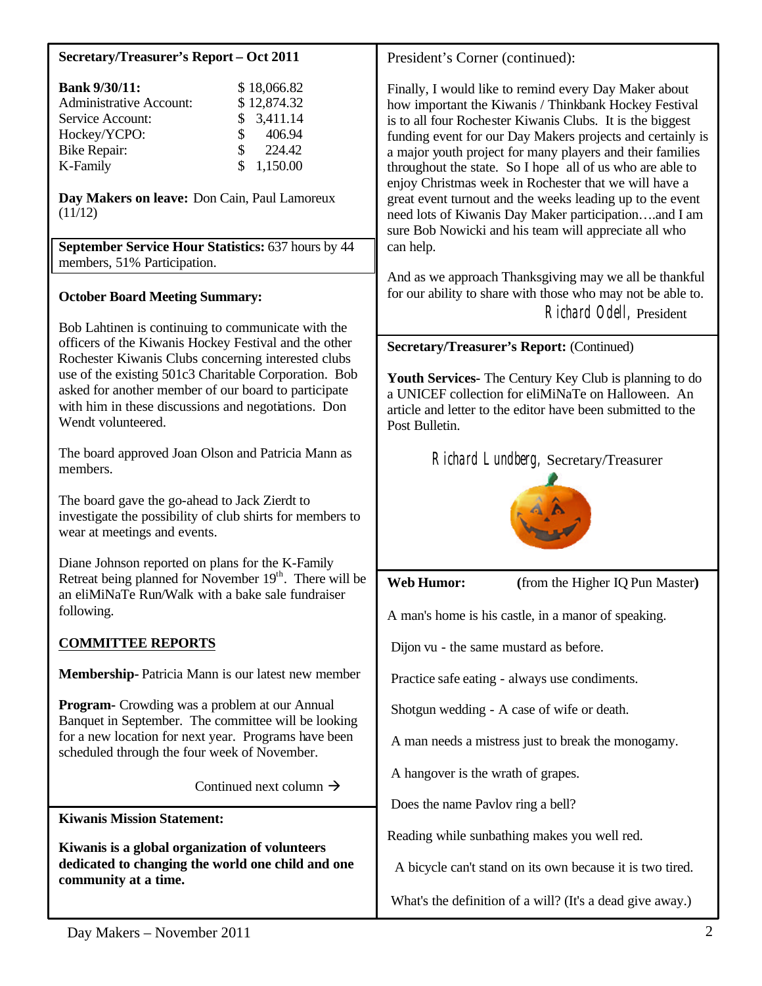| Secretary/Treasurer's Report - Oct 2011                                                                                                                                                                                                           | President's Corner (continued):                                                                                                                                                                                                                                                                                                                                                                                              |  |
|---------------------------------------------------------------------------------------------------------------------------------------------------------------------------------------------------------------------------------------------------|------------------------------------------------------------------------------------------------------------------------------------------------------------------------------------------------------------------------------------------------------------------------------------------------------------------------------------------------------------------------------------------------------------------------------|--|
| <b>Bank 9/30/11:</b><br>\$18,066.82<br><b>Administrative Account:</b><br>\$12,874.32<br>3,411.14<br>Service Account:<br>\$<br>\$<br>Hockey/YCPO:<br>406.94<br>\$<br>224.42<br><b>Bike Repair:</b><br>\$<br>1,150.00<br>K-Family                   | Finally, I would like to remind every Day Maker about<br>how important the Kiwanis / Thinkbank Hockey Festival<br>is to all four Rochester Kiwanis Clubs. It is the biggest<br>funding event for our Day Makers projects and certainly is<br>a major youth project for many players and their families<br>throughout the state. So I hope all of us who are able to<br>enjoy Christmas week in Rochester that we will have a |  |
| Day Makers on leave: Don Cain, Paul Lamoreux<br>(11/12)<br>September Service Hour Statistics: 637 hours by 44                                                                                                                                     | great event turnout and the weeks leading up to the event<br>need lots of Kiwanis Day Maker participationand I am<br>sure Bob Nowicki and his team will appreciate all who<br>can help.                                                                                                                                                                                                                                      |  |
| members, 51% Participation.                                                                                                                                                                                                                       |                                                                                                                                                                                                                                                                                                                                                                                                                              |  |
| <b>October Board Meeting Summary:</b><br>Bob Lahtinen is continuing to communicate with the                                                                                                                                                       | And as we approach Thanksgiving may we all be thankful<br>for our ability to share with those who may not be able to.<br>Richard Odell, President                                                                                                                                                                                                                                                                            |  |
| officers of the Kiwanis Hockey Festival and the other                                                                                                                                                                                             | <b>Secretary/Treasurer's Report: (Continued)</b>                                                                                                                                                                                                                                                                                                                                                                             |  |
| Rochester Kiwanis Clubs concerning interested clubs<br>use of the existing 501c3 Charitable Corporation. Bob<br>asked for another member of our board to participate<br>with him in these discussions and negotiations. Don<br>Wendt volunteered. | Youth Services- The Century Key Club is planning to do<br>a UNICEF collection for eliMiNaTe on Halloween. An<br>article and letter to the editor have been submitted to the<br>Post Bulletin.                                                                                                                                                                                                                                |  |
| The board approved Joan Olson and Patricia Mann as<br>members.                                                                                                                                                                                    | Richard Lundberg, Secretary/Treasurer                                                                                                                                                                                                                                                                                                                                                                                        |  |
| The board gave the go-ahead to Jack Zierdt to<br>investigate the possibility of club shirts for members to<br>wear at meetings and events.                                                                                                        |                                                                                                                                                                                                                                                                                                                                                                                                                              |  |
| Diane Johnson reported on plans for the K-Family                                                                                                                                                                                                  |                                                                                                                                                                                                                                                                                                                                                                                                                              |  |
| Retreat being planned for November 19th. There will be<br>an eliMiNaTe Run/Walk with a bake sale fundraiser                                                                                                                                       | <b>Web Humor:</b><br>(from the Higher IQ Pun Master)                                                                                                                                                                                                                                                                                                                                                                         |  |
| following.                                                                                                                                                                                                                                        | A man's home is his castle, in a manor of speaking.                                                                                                                                                                                                                                                                                                                                                                          |  |
| <b>COMMITTEE REPORTS</b>                                                                                                                                                                                                                          | Dijon vu - the same mustard as before.                                                                                                                                                                                                                                                                                                                                                                                       |  |
| Membership-Patricia Mann is our latest new member                                                                                                                                                                                                 | Practice safe eating - always use condiments.                                                                                                                                                                                                                                                                                                                                                                                |  |
| <b>Program-</b> Crowding was a problem at our Annual<br>Banquet in September. The committee will be looking                                                                                                                                       | Shotgun wedding - A case of wife or death.                                                                                                                                                                                                                                                                                                                                                                                   |  |
| for a new location for next year. Programs have been<br>scheduled through the four week of November.                                                                                                                                              | A man needs a mistress just to break the monogamy.                                                                                                                                                                                                                                                                                                                                                                           |  |
| Continued next column $\rightarrow$                                                                                                                                                                                                               | A hangover is the wrath of grapes.                                                                                                                                                                                                                                                                                                                                                                                           |  |
| <b>Kiwanis Mission Statement:</b>                                                                                                                                                                                                                 | Does the name Pavlov ring a bell?                                                                                                                                                                                                                                                                                                                                                                                            |  |
| Kiwanis is a global organization of volunteers                                                                                                                                                                                                    | Reading while sunbathing makes you well red.                                                                                                                                                                                                                                                                                                                                                                                 |  |
| dedicated to changing the world one child and one<br>community at a time.                                                                                                                                                                         | A bicycle can't stand on its own because it is two tired.                                                                                                                                                                                                                                                                                                                                                                    |  |
|                                                                                                                                                                                                                                                   | What's the definition of a will? (It's a dead give away.)                                                                                                                                                                                                                                                                                                                                                                    |  |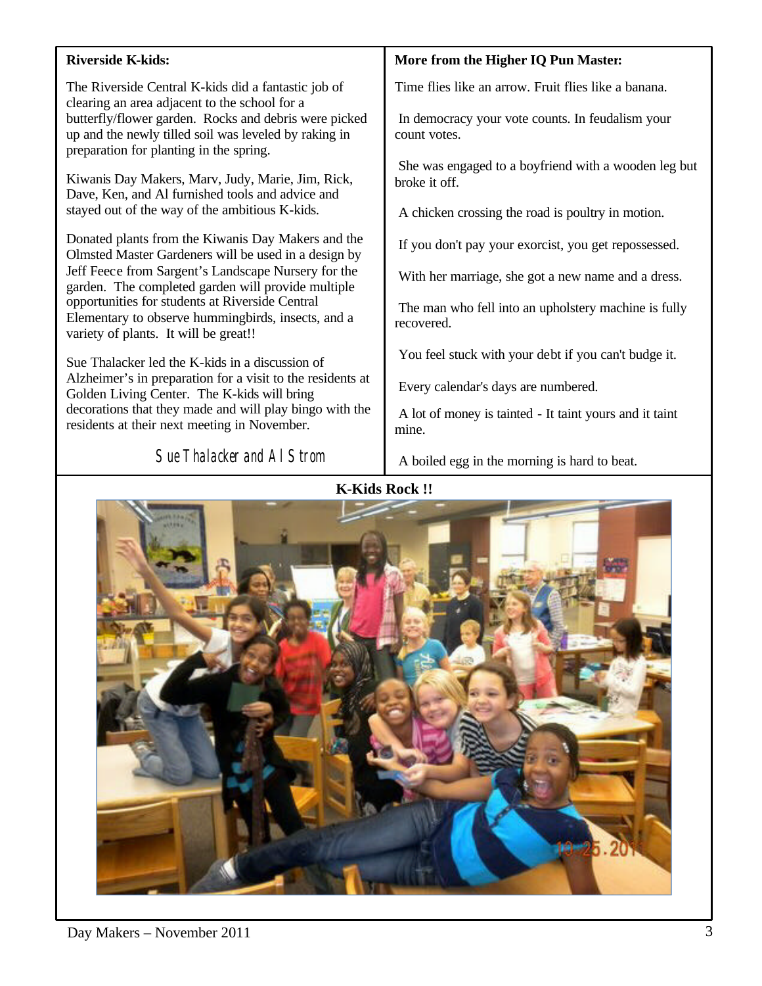## **Riverside K-kids:**

The Riverside Central K-kids did a fantastic job of clearing an area adjacent to the school for a butterfly/flower garden. Rocks and debris were picked up and the newly tilled soil was leveled by raking in preparation for planting in the spring.

Kiwanis Day Makers, Marv, Judy, Marie, Jim, Rick, Dave, Ken, and Al furnished tools and advice and stayed out of the way of the ambitious K-kids.

Donated plants from the Kiwanis Day Makers and the Olmsted Master Gardeners will be used in a design by Jeff Feece from Sargent's Landscape Nursery for the garden. The completed garden will provide multiple opportunities for students at Riverside Central Elementary to observe hummingbirds, insects, and a variety of plants. It will be great!!

Sue Thalacker led the K-kids in a discussion of Alzheimer's in preparation for a visit to the residents at Golden Living Center. The K-kids will bring decorations that they made and will play bingo with the residents at their next meeting in November.

dave Moehnke Photo below was a photo below was a photo below.

Sue Thalacker and Al Strom

## **More from the Higher IQ Pun Master:**

Time flies like an arrow. Fruit flies like a banana.

In democracy your vote counts. In feudalism your count votes.

She was engaged to a boyfriend with a wooden leg but broke it off.

A chicken crossing the road is poultry in motion.

If you don't pay your exorcist, you get repossessed.

With her marriage, she got a new name and a dress.

The man who fell into an upholstery machine is fully recovered.

You feel stuck with your debt if you can't budge it.

Every calendar's days are numbered.

A lot of money is tainted - It taint yours and it taint mine.

A boiled egg in the morning is hard to beat.